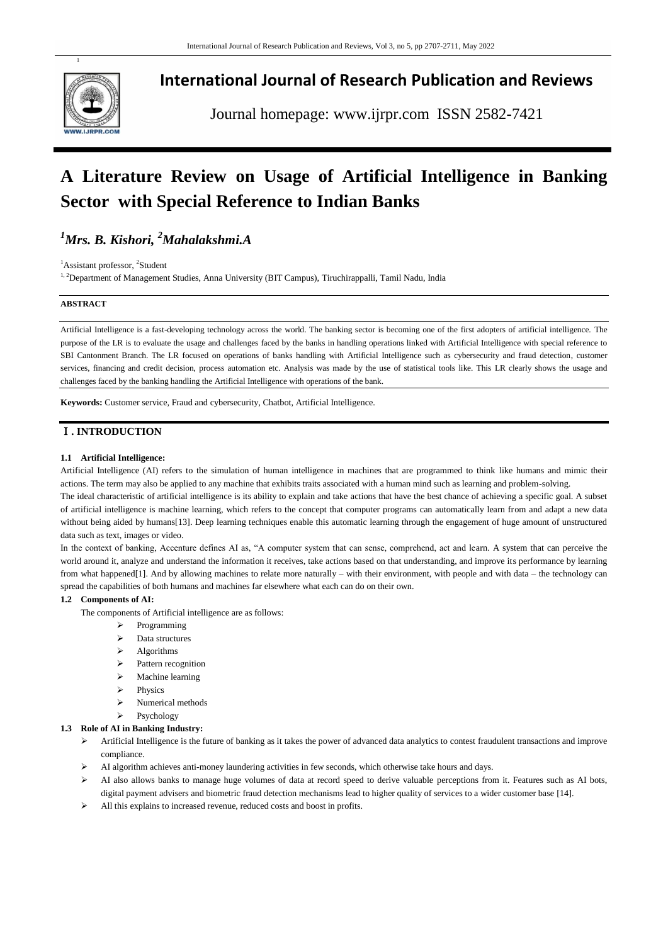

**International Journal of Research Publication and Reviews**

Journal homepage: www.ijrpr.com ISSN 2582-7421

# **A Literature Review on Usage of Artificial Intelligence in Banking Sector with Special Reference to Indian Banks**

# *<sup>1</sup>Mrs. B. Kishori, <sup>2</sup>Mahalakshmi.A*

<sup>1</sup>Assistant professor, <sup>2</sup>Student

<sup>1, 2</sup>Department of Management Studies, Anna University (BIT Campus), Tiruchirappalli, Tamil Nadu, India

### **ABSTRACT**

Artificial Intelligence is a fast-developing technology across the world. The banking sector is becoming one of the first adopters of artificial intelligence. The purpose of the LR is to evaluate the usage and challenges faced by the banks in handling operations linked with Artificial Intelligence with special reference to SBI Cantonment Branch. The LR focused on operations of banks handling with Artificial Intelligence such as cybersecurity and fraud detection, customer services, financing and credit decision, process automation etc. Analysis was made by the use of statistical tools like. This LR clearly shows the usage and challenges faced by the banking handling the Artificial Intelligence with operations of the bank.

**Keywords:** Customer service, Fraud and cybersecurity, Chatbot, Artificial Intelligence.

# Ⅰ**. INTRODUCTION**

### **1.1 Artificial Intelligence:**

Artificial Intelligence (AI) refers to the simulation of human intelligence in machines that are programmed to think like humans and mimic their actions. The term may also be applied to any machine that exhibits traits associated with a human mind such as learning and problem-solving.

The ideal characteristic of artificial intelligence is its ability to explain and take actions that have the best chance of achieving a specific goal. A subset of artificial intelligence is machine learning, which refers to the concept that computer programs can automatically learn from and adapt a new data without being aided by humans[13]. Deep learning techniques enable this automatic learning through the engagement of huge amount of unstructured data such as text, images or video.

In the context of banking, Accenture defines AI as, "A computer system that can sense, comprehend, act and learn. A system that can perceive the world around it, analyze and understand the information it receives, take actions based on that understanding, and improve its performance by learning from what happened[1]. And by allowing machines to relate more naturally – with their environment, with people and with data – the technology can spread the capabilities of both humans and machines far elsewhere what each can do on their own.

#### **1.2 Components of AI:**

The components of Artificial intelligence are as follows:

- > Programming
- $\triangleright$  Data structures
- $\triangleright$  Algorithms
- $\triangleright$  Pattern recognition
- Machine learning
- $\triangleright$  Physics
- > Numerical methods
- Psychology

#### **1.3 Role of AI in Banking Industry:**

- Artificial Intelligence is the future of banking as it takes the power of advanced data analytics to contest fraudulent transactions and improve compliance.
- AI algorithm achieves anti-money laundering activities in few seconds, which otherwise take hours and days.
- AI also allows banks to manage huge volumes of data at record speed to derive valuable perceptions from it. Features such as AI bots, digital payment advisers and biometric fraud detection mechanisms lead to higher quality of services to a wider customer base [14].
- All this explains to increased revenue, reduced costs and boost in profits.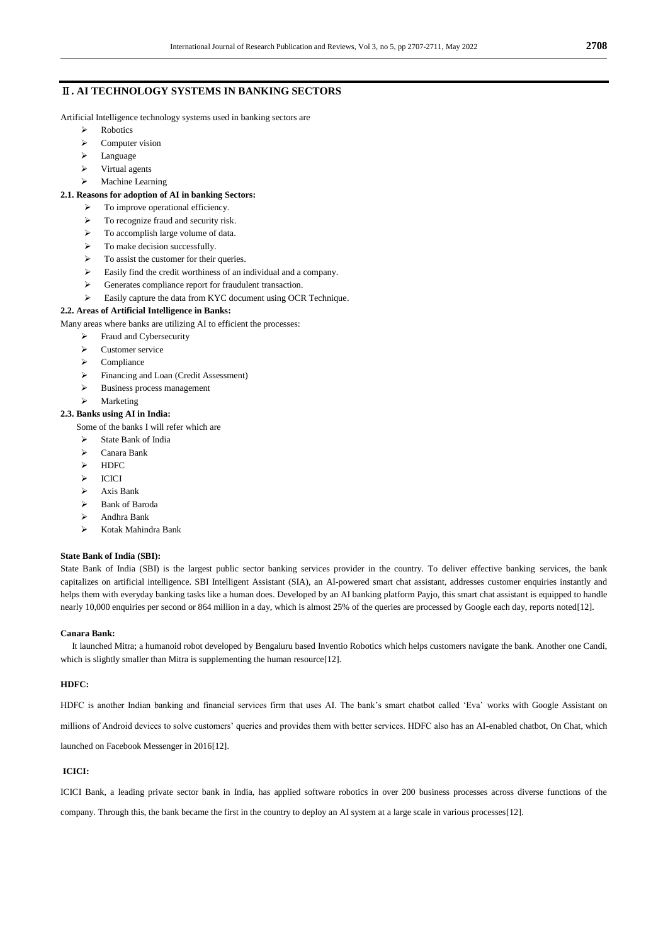# Ⅱ**. AI TECHNOLOGY SYSTEMS IN BANKING SECTORS**

Artificial Intelligence technology systems used in banking sectors are

- $\triangleright$  Robotics
- $\triangleright$  Computer vision
- $\blacktriangleright$  Language
- $\triangleright$  Virtual agents
- Machine Learning

### **2.1. Reasons for adoption of AI in banking Sectors:**

- To improve operational efficiency.
- To recognize fraud and security risk.
- $\triangleright$  To accomplish large volume of data.
- $\triangleright$  To make decision successfully.
- $\triangleright$  To assist the customer for their queries.
- $\triangleright$  Easily find the credit worthiness of an individual and a company.
- Generates compliance report for fraudulent transaction.
- Easily capture the data from KYC document using OCR Technique.

#### **2.2. Areas of Artificial Intelligence in Banks:**

Many areas where banks are utilizing AI to efficient the processes:

- Fraud and Cybersecurity
- Customer service
- $\triangleright$  Compliance
- Financing and Loan (Credit Assessment)
- $\triangleright$  Business process management
- Marketing

#### **2.3. Banks using AI in India:**

Some of the banks I will refer which are

- State Bank of India
- Canara Bank
- $\triangleright$  HDFC
- $\triangleright$  ICICI
- $\triangleright$  Axis Bank
- $\triangleright$  Bank of Baroda
- > Andhra Bank
- Kotak Mahindra Bank

#### **State Bank of India (SBI):**

State Bank of India (SBI) is the largest public sector banking services provider in the country. To deliver effective banking services, the bank capitalizes on artificial intelligence. SBI Intelligent Assistant (SIA), an AI-powered smart chat assistant, addresses customer enquiries instantly and helps them with everyday banking tasks like a human does. Developed by an AI banking platform Payjo, this smart chat assistant is equipped to handle nearly 10,000 enquiries per second or 864 million in a day, which is almost 25% of the queries are processed by Google each day, reports noted[12].

# **Canara Bank:**

 It launched Mitra; a humanoid robot developed by Bengaluru based Inventio Robotics which helps customers navigate the bank. Another one Candi, which is slightly smaller than Mitra is supplementing the human resource[12].

#### **HDFC:**

HDFC is another Indian banking and financial services firm that uses AI. The bank"s smart chatbot called "Eva" works with Google Assistant on millions of Android devices to solve customers" queries and provides them with better services. HDFC also has an AI-enabled chatbot, On Chat, which launched on Facebook Messenger in 2016[12].

# **ICICI:**

ICICI Bank, a leading private sector bank in India, has applied software robotics in over 200 business processes across diverse functions of the company. Through this, the bank became the first in the country to deploy an AI system at a large scale in various processes[12].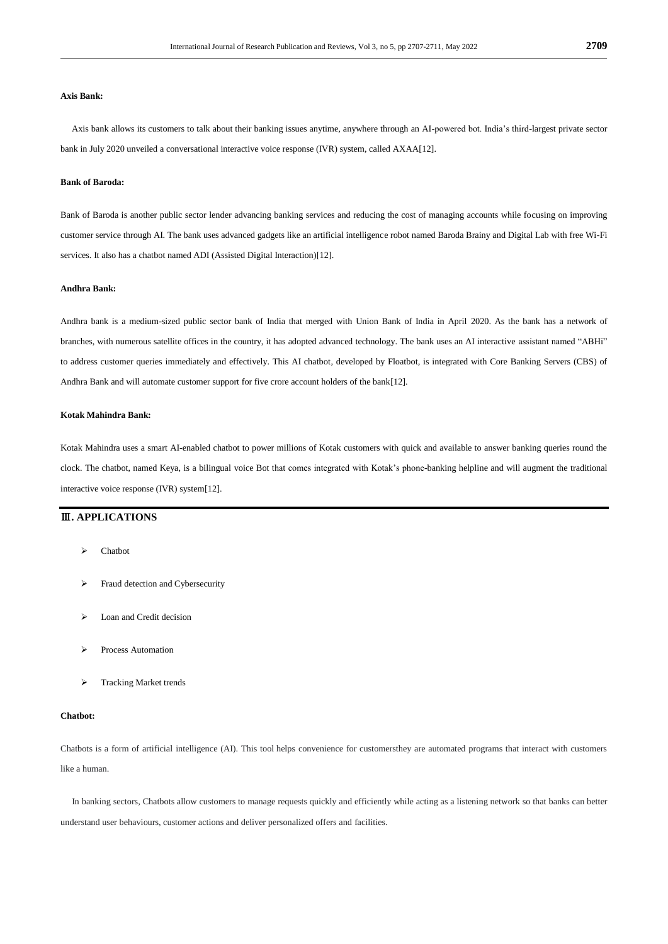#### **Axis Bank:**

 Axis bank allows its customers to talk about their banking issues anytime, anywhere through an AI-powered bot. India"s third-largest private sector bank in July 2020 unveiled a conversational interactive voice response (IVR) system, called AXAA[12].

#### **Bank of Baroda:**

Bank of Baroda is another public sector lender advancing banking services and reducing the cost of managing accounts while focusing on improving customer service through AI. The bank uses advanced gadgets like an artificial intelligence robot named Baroda Brainy and Digital Lab with free Wi-Fi services. It also has a chatbot named ADI (Assisted Digital Interaction)[12].

#### **Andhra Bank:**

Andhra bank is a medium-sized public sector bank of India that merged with Union Bank of India in April 2020. As the bank has a network of branches, with numerous satellite offices in the country, it has adopted advanced technology. The bank uses an AI interactive assistant named "ABHi" to address customer queries immediately and effectively. This AI chatbot, developed by Floatbot, is integrated with Core Banking Servers (CBS) of Andhra Bank and will automate customer support for five crore account holders of the bank[12].

#### **Kotak Mahindra Bank:**

Kotak Mahindra uses a smart AI-enabled chatbot to power millions of Kotak customers with quick and available to answer banking queries round the clock. The chatbot, named Keya, is a bilingual voice Bot that comes integrated with Kotak"s phone-banking helpline and will augment the traditional interactive voice response (IVR) system[12].

# Ⅲ**. APPLICATIONS**

- Chatbot
- $\triangleright$  Fraud detection and Cybersecurity
- Loan and Credit decision
- Process Automation
- $\triangleright$  Tracking Market trends

### **Chatbot:**

Chatbots is a form of artificial intelligence (AI). This tool helps convenience for customersthey are automated programs that interact with customers like a human.

 In banking sectors, Chatbots allow customers to manage requests quickly and efficiently while acting as a listening network so that banks can better understand user behaviours, customer actions and deliver personalized offers and facilities.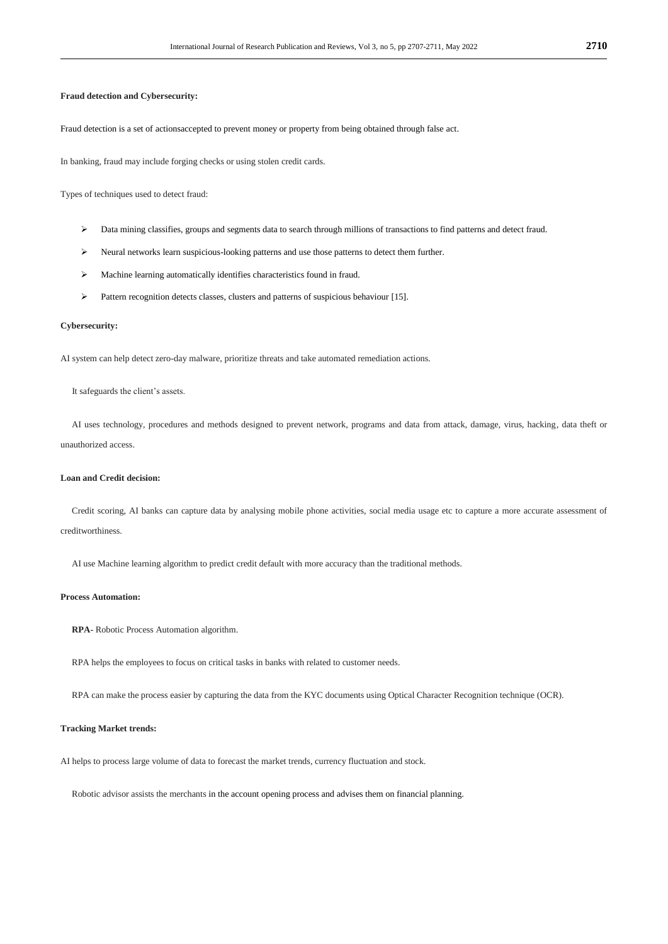#### **Fraud detection and Cybersecurity:**

Fraud detection is a set of actionsaccepted to prevent money or property from being obtained through false act.

In banking, fraud may include forging checks or using stolen credit cards.

Types of techniques used to detect fraud:

- [Data mining](https://searchsqlserver.techtarget.com/definition/data-mining) classifies, groups and segments data to search through millions of transactions to find patterns and detect fraud.
- [Neural networks](https://www.techtarget.com/searchenterpriseai/definition/neural-network) learn suspicious-looking patterns and use those patterns to detect them further.
- [Machine learning](https://www.techtarget.com/searchenterpriseai/definition/machine-learning-ML) automatically identifies characteristics found in fraud.
- [Pattern recognition](https://www.techtarget.com/whatis/definition/pattern-recognition) detects classes, clusters and patterns of suspicious behaviour [15].

#### **Cybersecurity:**

AI system can help detect zero-day malware, prioritize threats and take automated remediation actions.

It safeguards the client's assets.

 AI uses technology, procedures and methods designed to prevent network, programs and data from attack, damage, virus, hacking, data theft or unauthorized access.

#### **Loan and Credit decision:**

 Credit scoring, AI banks can capture data by analysing mobile phone activities, social media usage etc to capture a more accurate assessment of creditworthiness.

AI use Machine learning algorithm to predict credit default with more accuracy than the traditional methods.

#### **Process Automation:**

 **RPA-** Robotic Process Automation algorithm.

RPA helps the employees to focus on critical tasks in banks with related to customer needs.

RPA can make the process easier by capturing the data from the KYC documents using Optical Character Recognition technique (OCR).

# **Tracking Market trends:**

AI helps to process large volume of data to forecast the market trends, currency fluctuation and stock.

Robotic advisor assists the merchants in the account opening process and advises them on financial planning.